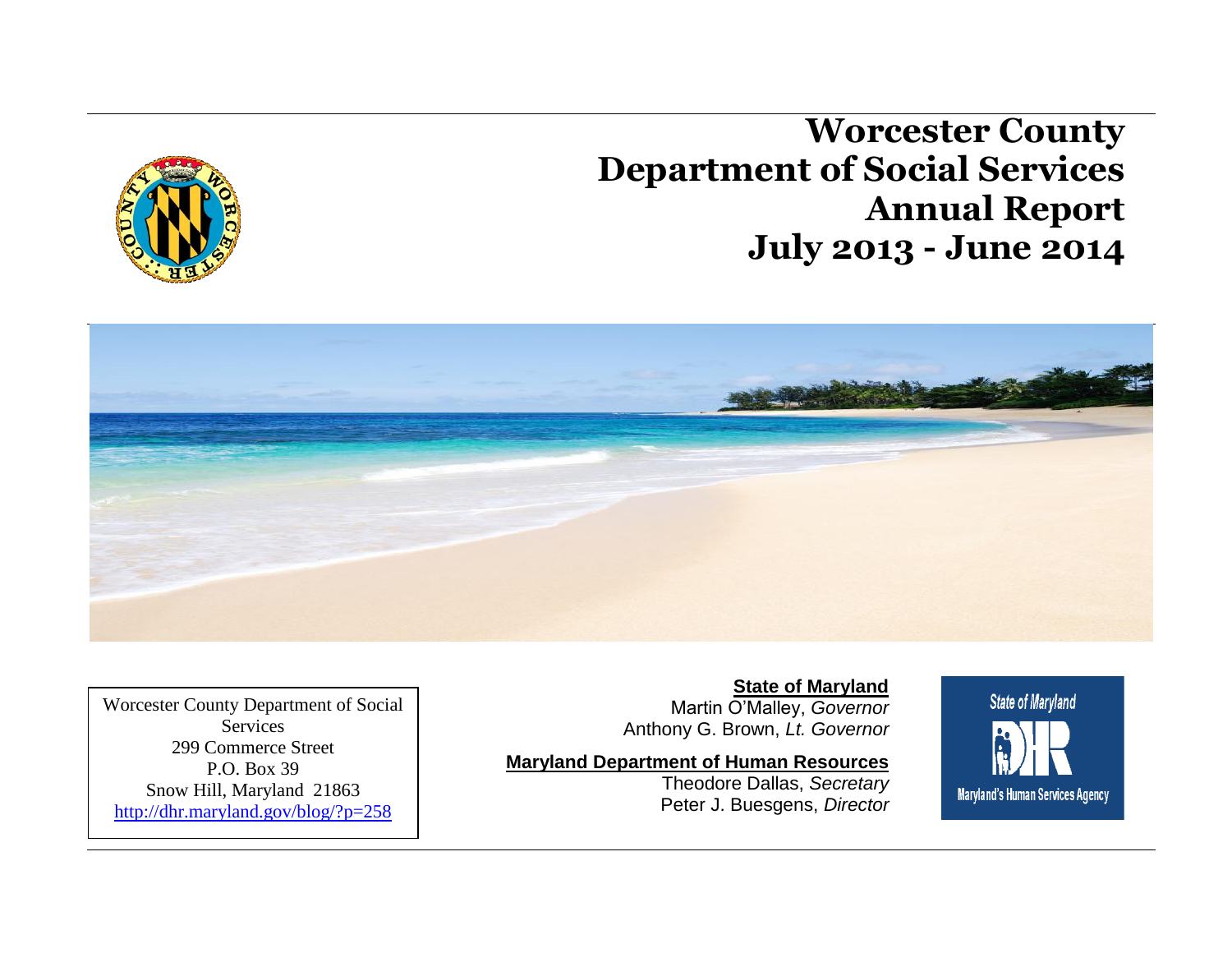**Worcester County Department of Social Services Annual Report July 2013 - June 2014**





Worcester County Department of Social **Services** 299 Commerce Street P.O. Box 39 Snow Hill, Maryland 21863 <http://dhr.maryland.gov/blog/?p=258>

**State of Maryland** Martin O'Malley, *Governor* Anthony G. Brown, *Lt. Governor*

#### **Maryland Department of Human Resources**

Theodore Dallas, *Secretary* Peter J. Buesgens, *Director*

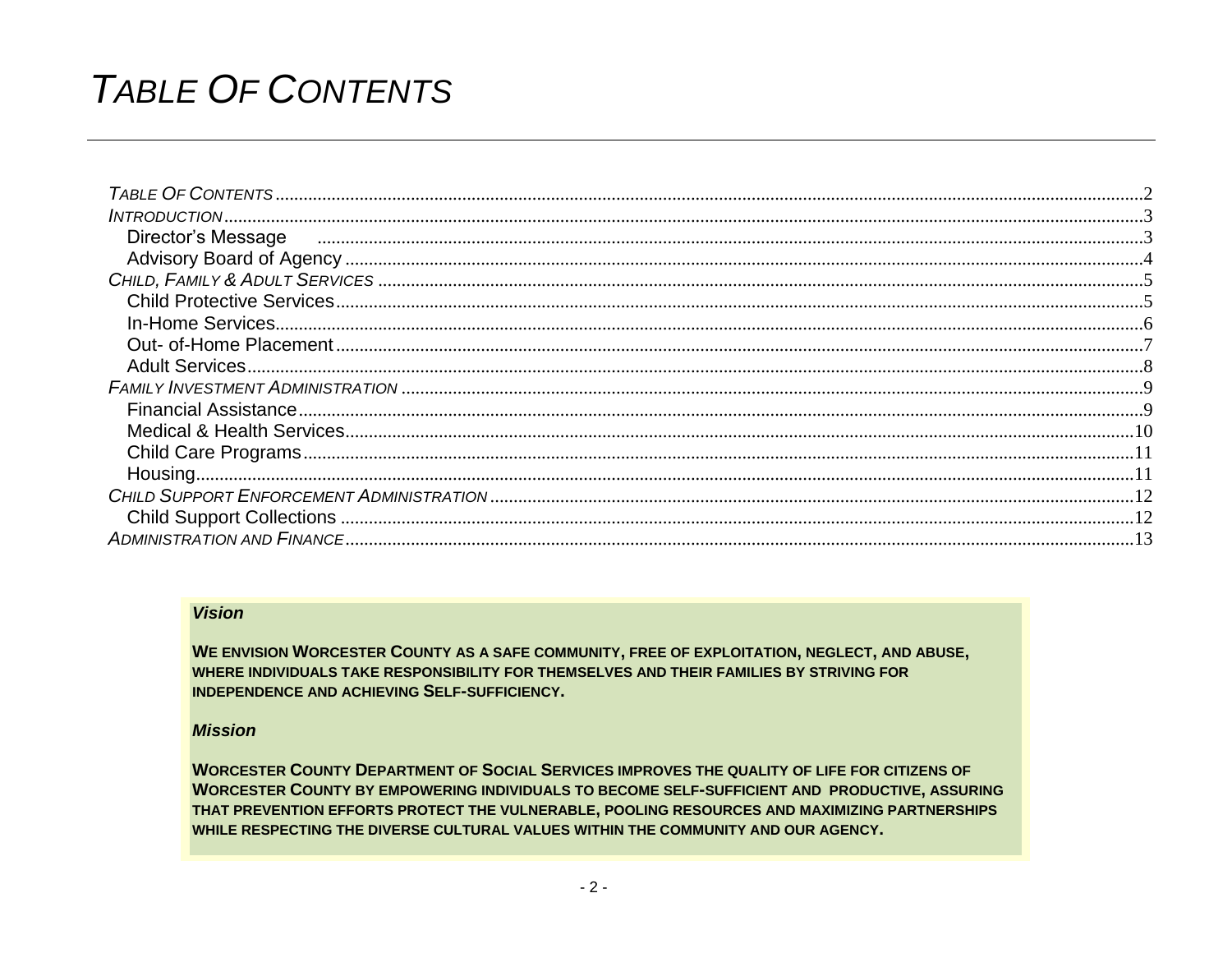# <span id="page-1-0"></span>**TABLE OF CONTENTS**

| Director's Message |  |
|--------------------|--|
|                    |  |
|                    |  |
|                    |  |
|                    |  |
|                    |  |
|                    |  |
|                    |  |
|                    |  |
|                    |  |
|                    |  |
|                    |  |
|                    |  |
|                    |  |
|                    |  |

#### **Vision**

WE ENVISION WORCESTER COUNTY AS A SAFE COMMUNITY, FREE OF EXPLOITATION, NEGLECT, AND ABUSE, WHERE INDIVIDUALS TAKE RESPONSIBILITY FOR THEMSELVES AND THEIR FAMILIES BY STRIVING FOR **INDEPENDENCE AND ACHIEVING SELF-SUFFICIENCY.** 

#### **Mission**

**WORCESTER COUNTY DEPARTMENT OF SOCIAL SERVICES IMPROVES THE QUALITY OF LIFE FOR CITIZENS OF WORCESTER COUNTY BY EMPOWERING INDIVIDUALS TO BECOME SELF-SUFFICIENT AND PRODUCTIVE, ASSURING** THAT PREVENTION EFFORTS PROTECT THE VULNERABLE, POOLING RESOURCES AND MAXIMIZING PARTNERSHIPS WHILE RESPECTING THE DIVERSE CULTURAL VALUES WITHIN THE COMMUNITY AND OUR AGENCY.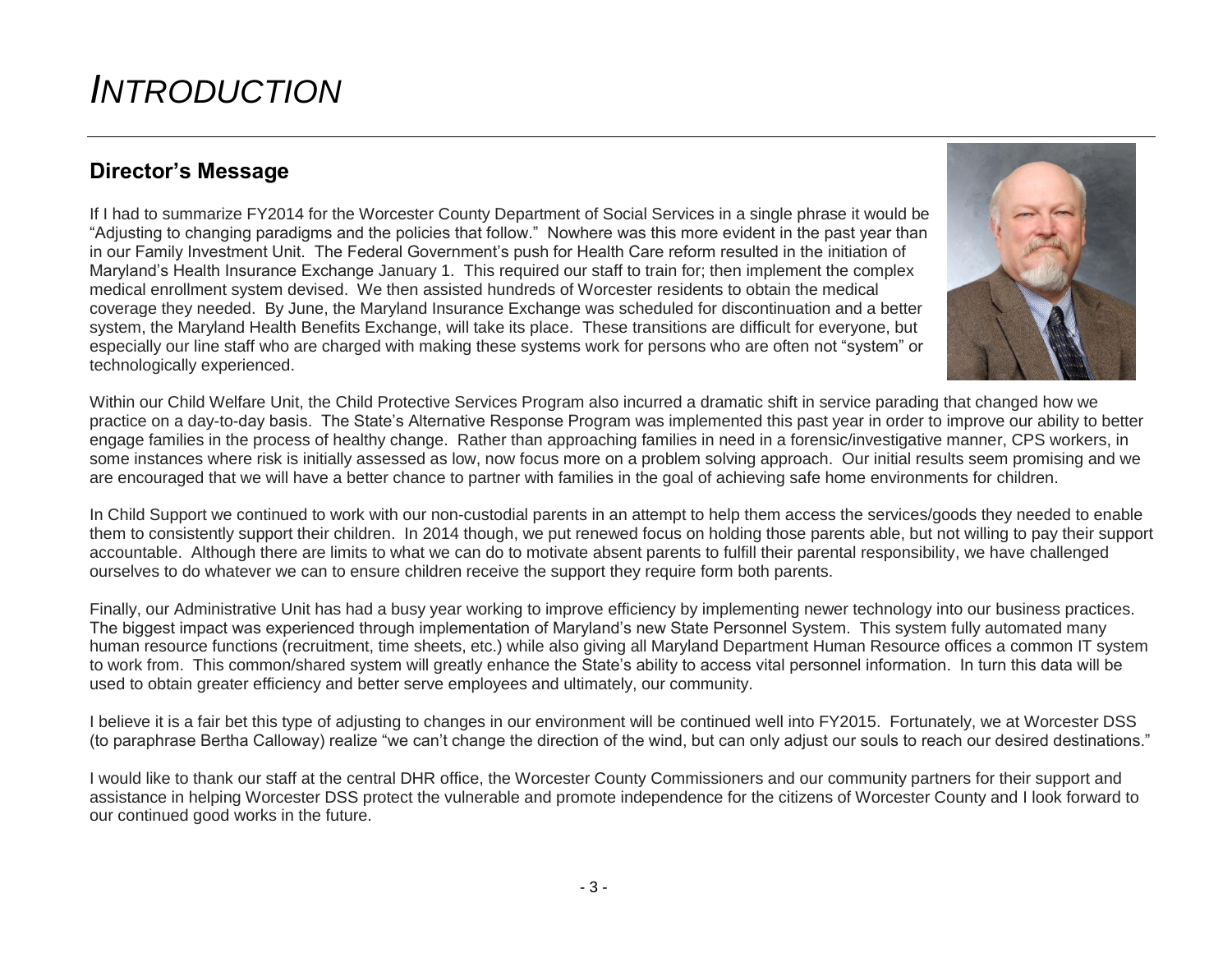## <span id="page-2-0"></span>*INTRODUCTION*

### <span id="page-2-1"></span>**Director's Message**

If I had to summarize FY2014 for the Worcester County Department of Social Services in a single phrase it would be "Adjusting to changing paradigms and the policies that follow." Nowhere was this more evident in the past year than in our Family Investment Unit. The Federal Government's push for Health Care reform resulted in the initiation of Maryland's Health Insurance Exchange January 1. This required our staff to train for; then implement the complex medical enrollment system devised. We then assisted hundreds of Worcester residents to obtain the medical coverage they needed. By June, the Maryland Insurance Exchange was scheduled for discontinuation and a better system, the Maryland Health Benefits Exchange, will take its place. These transitions are difficult for everyone, but especially our line staff who are charged with making these systems work for persons who are often not "system" or technologically experienced.



Within our Child Welfare Unit, the Child Protective Services Program also incurred a dramatic shift in service parading that changed how we practice on a day-to-day basis. The State's Alternative Response Program was implemented this past year in order to improve our ability to better engage families in the process of healthy change. Rather than approaching families in need in a forensic/investigative manner, CPS workers, in some instances where risk is initially assessed as low, now focus more on a problem solving approach. Our initial results seem promising and we are encouraged that we will have a better chance to partner with families in the goal of achieving safe home environments for children.

In Child Support we continued to work with our non-custodial parents in an attempt to help them access the services/goods they needed to enable them to consistently support their children. In 2014 though, we put renewed focus on holding those parents able, but not willing to pay their support accountable. Although there are limits to what we can do to motivate absent parents to fulfill their parental responsibility, we have challenged ourselves to do whatever we can to ensure children receive the support they require form both parents.

Finally, our Administrative Unit has had a busy year working to improve efficiency by implementing newer technology into our business practices. The biggest impact was experienced through implementation of Maryland's new State Personnel System. This system fully automated many human resource functions (recruitment, time sheets, etc.) while also giving all Maryland Department Human Resource offices a common IT system to work from. This common/shared system will greatly enhance the State's ability to access vital personnel information. In turn this data will be used to obtain greater efficiency and better serve employees and ultimately, our community.

I believe it is a fair bet this type of adjusting to changes in our environment will be continued well into FY2015. Fortunately, we at Worcester DSS (to paraphrase Bertha Calloway) realize "we can't change the direction of the wind, but can only adjust our souls to reach our desired destinations."

I would like to thank our staff at the central DHR office, the Worcester County Commissioners and our community partners for their support and assistance in helping Worcester DSS protect the vulnerable and promote independence for the citizens of Worcester County and I look forward to our continued good works in the future.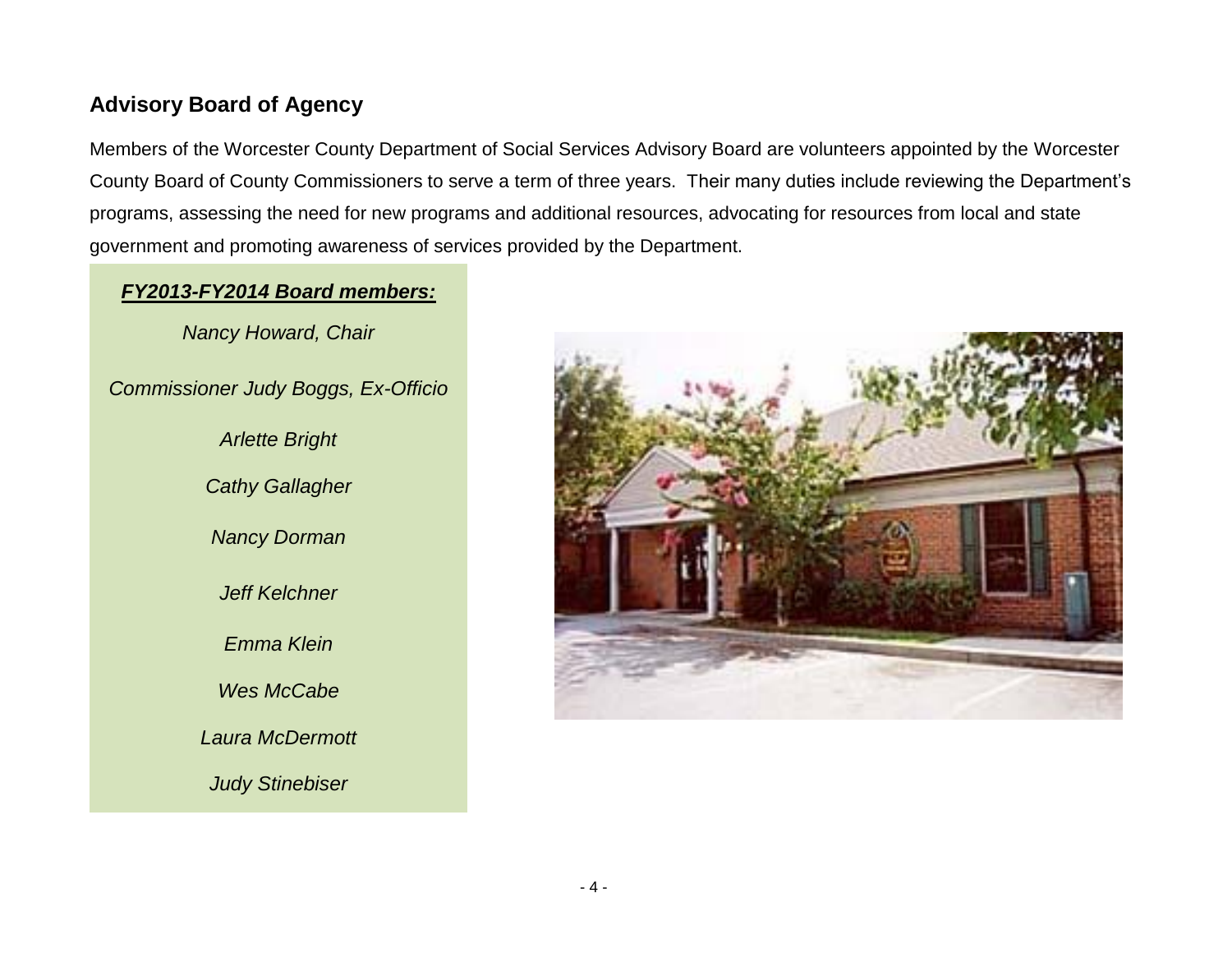## <span id="page-3-0"></span>**Advisory Board of Agency**

Members of the Worcester County Department of Social Services Advisory Board are volunteers appointed by the Worcester County Board of County Commissioners to serve a term of three years. Their many duties include reviewing the Department's programs, assessing the need for new programs and additional resources, advocating for resources from local and state government and promoting awareness of services provided by the Department.

#### *FY2013-FY2014 Board members:*

*Nancy Howard, Chair*

*Commissioner Judy Boggs, Ex-Officio*

*Arlette Bright Cathy Gallagher Nancy Dorman Jeff Kelchner Emma Klein Wes McCabe Laura McDermott Judy Stinebiser*

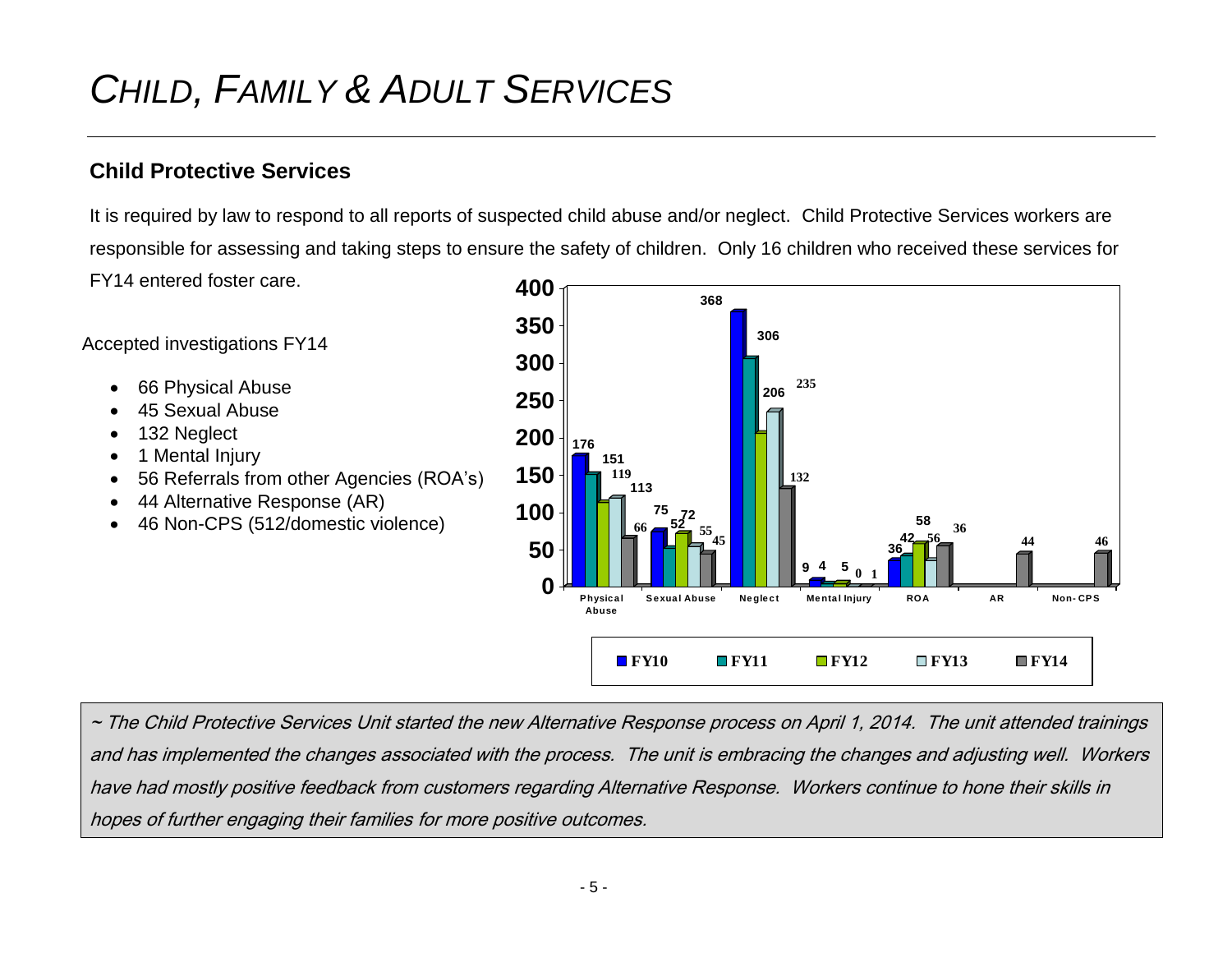# <span id="page-4-0"></span>*CHILD, FAMILY & ADULT SERVICES*

## <span id="page-4-1"></span>**Child Protective Services**

It is required by law to respond to all reports of suspected child abuse and/or neglect. Child Protective Services workers are responsible for assessing and taking steps to ensure the safety of children. Only 16 children who received these services for FY14 entered foster care.

Accepted investigations FY14

- 66 Physical Abuse
- 45 Sexual Abuse
- 132 Neglect
- 1 Mental Injury
- 56 Referrals from other Agencies (ROA's)
- 44 Alternative Response (AR)
- 46 Non-CPS (512/domestic violence)



~ The Child Protective Services Unit started the new Alternative Response process on April 1, 2014. The unit attended trainings and has implemented the changes associated with the process. The unit is embracing the changes and adjusting well. Workers have had mostly positive feedback from customers regarding Alternative Response. Workers continue to hone their skills in hopes of further engaging their families for more positive outcomes.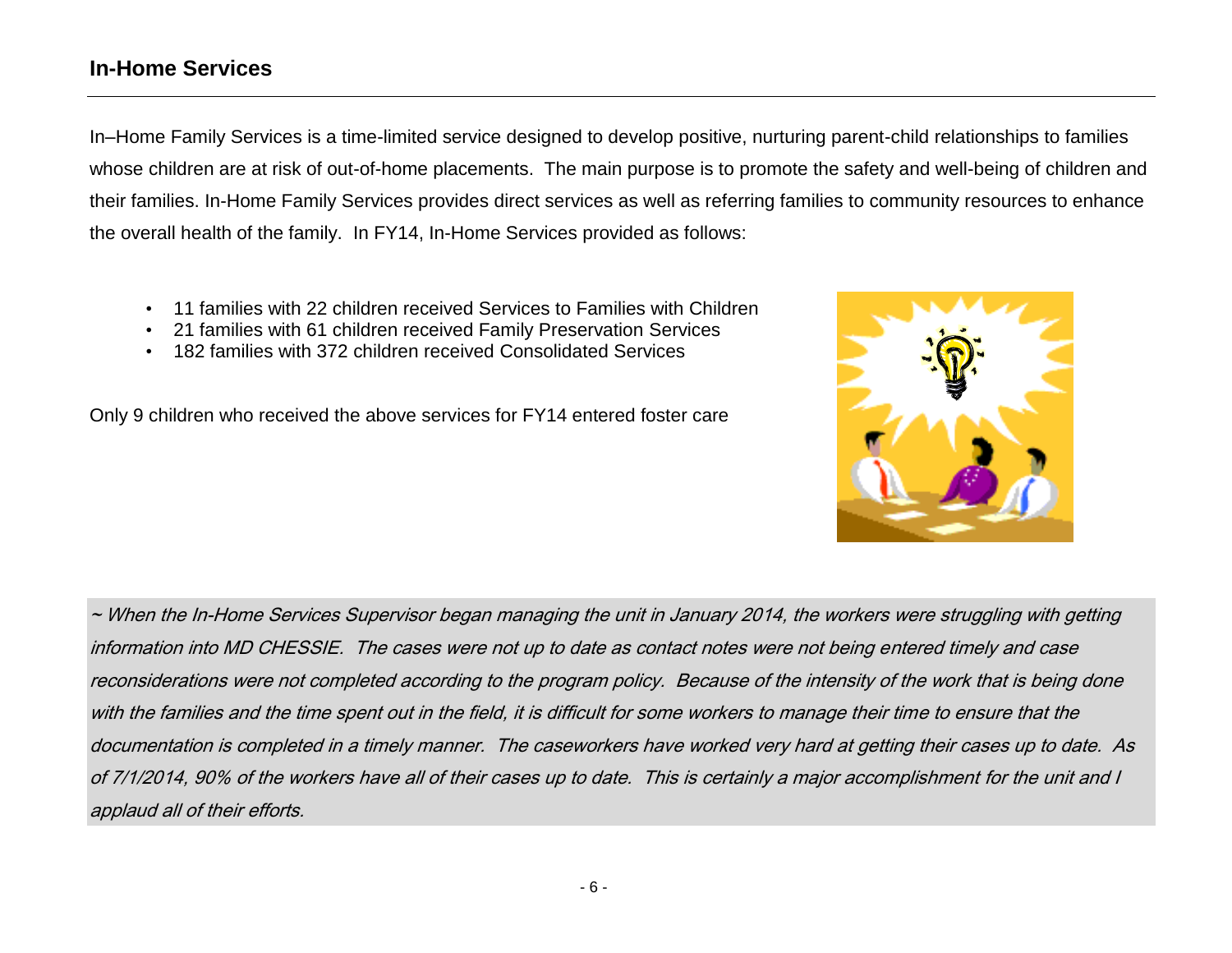### <span id="page-5-0"></span>**In-Home Services**

In–Home Family Services is a time-limited service designed to develop positive, nurturing parent-child relationships to families whose children are at risk of out-of-home placements. The main purpose is to promote the safety and well-being of children and their families. In-Home Family Services provides direct services as well as referring families to community resources to enhance the overall health of the family. In FY14, In-Home Services provided as follows:

- 11 families with 22 children received Services to Families with Children
- 21 families with 61 children received Family Preservation Services
- 182 families with 372 children received Consolidated Services

Only 9 children who received the above services for FY14 entered foster care



~ When the In-Home Services Supervisor began managing the unit in January 2014, the workers were struggling with getting information into MD CHESSIE. The cases were not up to date as contact notes were not being entered timely and case reconsiderations were not completed according to the program policy. Because of the intensity of the work that is being done with the families and the time spent out in the field, it is difficult for some workers to manage their time to ensure that the documentation is completed in a timely manner. The caseworkers have worked very hard at getting their cases up to date. As of 7/1/2014, 90% of the workers have all of their cases up to date. This is certainly a major accomplishment for the unit and I applaud all of their efforts.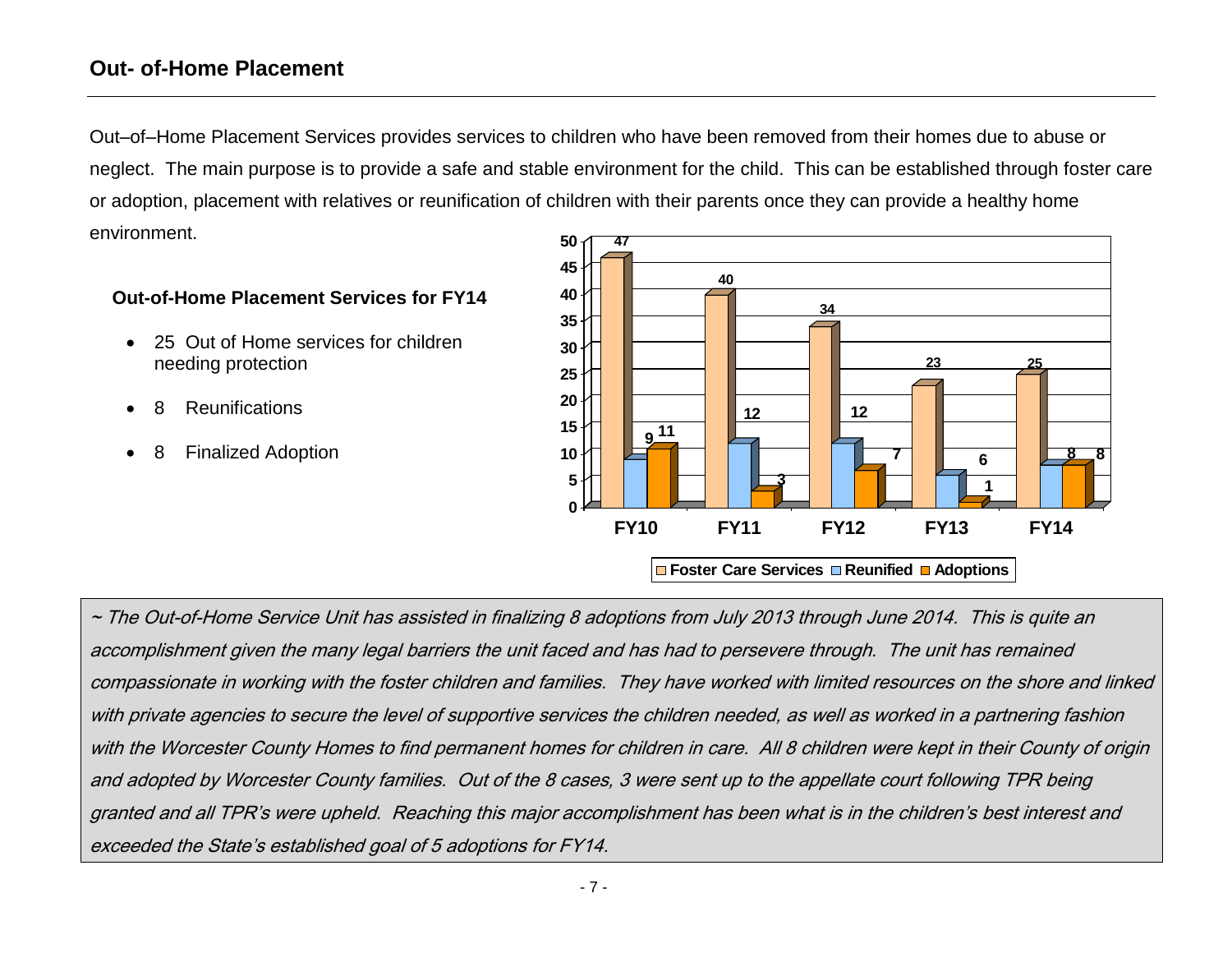### <span id="page-6-0"></span>**Out- of-Home Placement**

Out–of–Home Placement Services provides services to children who have been removed from their homes due to abuse or neglect. The main purpose is to provide a safe and stable environment for the child. This can be established through foster care or adoption, placement with relatives or reunification of children with their parents once they can provide a healthy home environment.

#### **Out-of-Home Placement Services for FY14**

- 25 Out of Home services for children needing protection
- **Reunifications**
- 8 Finalized Adoption



~ The Out-of-Home Service Unit has assisted in finalizing 8 adoptions from July 2013 through June 2014. This is quite an accomplishment given the many legal barriers the unit faced and has had to persevere through. The unit has remained compassionate in working with the foster children and families. They have worked with limited resources on the shore and linked with private agencies to secure the level of supportive services the children needed, as well as worked in a partnering fashion with the Worcester County Homes to find permanent homes for children in care. All 8 children were kept in their County of origin and adopted by Worcester County families. Out of the 8 cases, 3 were sent up to the appellate court following TPR being granted and all TPR's were upheld. Reaching this major accomplishment has been what is in the children's best interest and exceeded the State's established goal of 5 adoptions for FY14.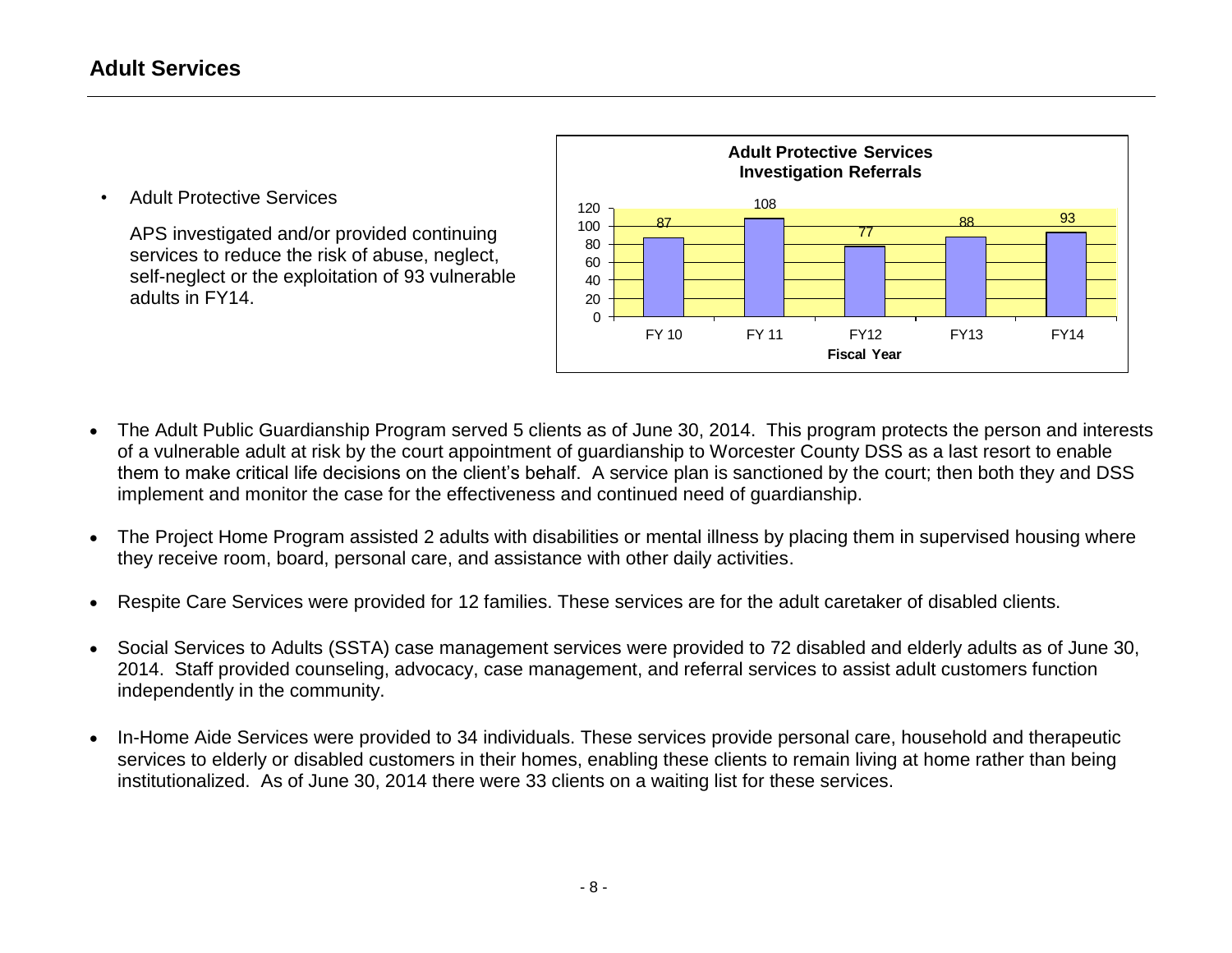<span id="page-7-0"></span>• Adult Protective Services

APS investigated and/or provided continuing services to reduce the risk of abuse, neglect, self-neglect or the exploitation of 93 vulnerable adults in FY14.



- The Adult Public Guardianship Program served 5 clients as of June 30, 2014. This program protects the person and interests of a vulnerable adult at risk by the court appointment of guardianship to Worcester County DSS as a last resort to enable them to make critical life decisions on the client's behalf. A service plan is sanctioned by the court; then both they and DSS implement and monitor the case for the effectiveness and continued need of guardianship.
- The Project Home Program assisted 2 adults with disabilities or mental illness by placing them in supervised housing where they receive room, board, personal care, and assistance with other daily activities.
- Respite Care Services were provided for 12 families. These services are for the adult caretaker of disabled clients.
- Social Services to Adults (SSTA) case management services were provided to 72 disabled and elderly adults as of June 30, 2014. Staff provided counseling, advocacy, case management, and referral services to assist adult customers function independently in the community.
- In-Home Aide Services were provided to 34 individuals. These services provide personal care, household and therapeutic services to elderly or disabled customers in their homes, enabling these clients to remain living at home rather than being institutionalized. As of June 30, 2014 there were 33 clients on a waiting list for these services.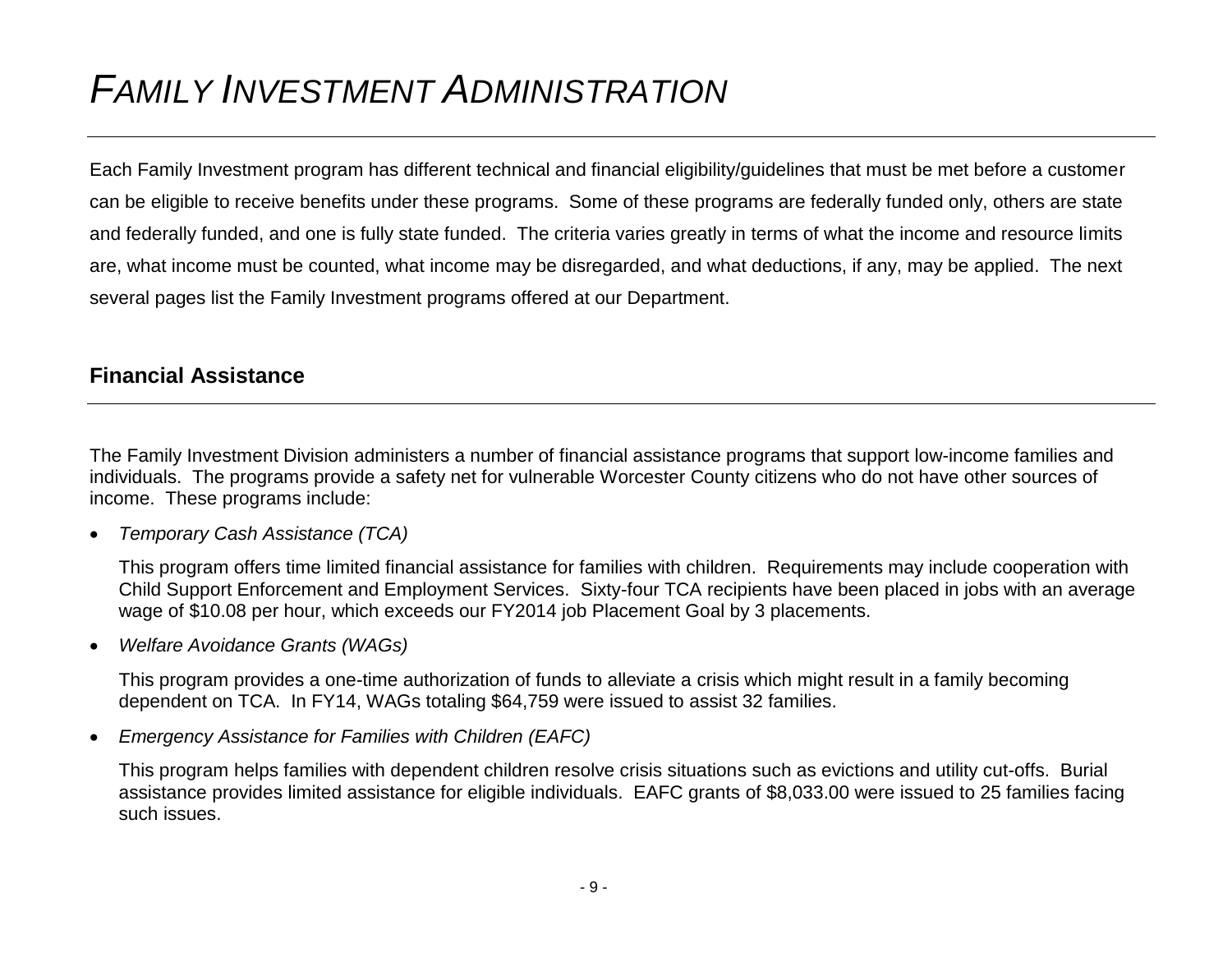# <span id="page-8-0"></span>*FAMILY INVESTMENT ADMINISTRATION*

Each Family Investment program has different technical and financial eligibility/guidelines that must be met before a customer can be eligible to receive benefits under these programs. Some of these programs are federally funded only, others are state and federally funded, and one is fully state funded. The criteria varies greatly in terms of what the income and resource limits are, what income must be counted, what income may be disregarded, and what deductions, if any, may be applied. The next several pages list the Family Investment programs offered at our Department.

### <span id="page-8-1"></span>**Financial Assistance**

The Family Investment Division administers a number of financial assistance programs that support low-income families and individuals. The programs provide a safety net for vulnerable Worcester County citizens who do not have other sources of income. These programs include:

*Temporary Cash Assistance (TCA)*

This program offers time limited financial assistance for families with children. Requirements may include cooperation with Child Support Enforcement and Employment Services. Sixty-four TCA recipients have been placed in jobs with an average wage of \$10.08 per hour, which exceeds our FY2014 job Placement Goal by 3 placements.

*Welfare Avoidance Grants (WAGs)* 

This program provides a one-time authorization of funds to alleviate a crisis which might result in a family becoming dependent on TCA. In FY14, WAGs totaling \$64,759 were issued to assist 32 families.

*Emergency Assistance for Families with Children (EAFC)* 

This program helps families with dependent children resolve crisis situations such as evictions and utility cut-offs. Burial assistance provides limited assistance for eligible individuals. EAFC grants of \$8,033.00 were issued to 25 families facing such issues.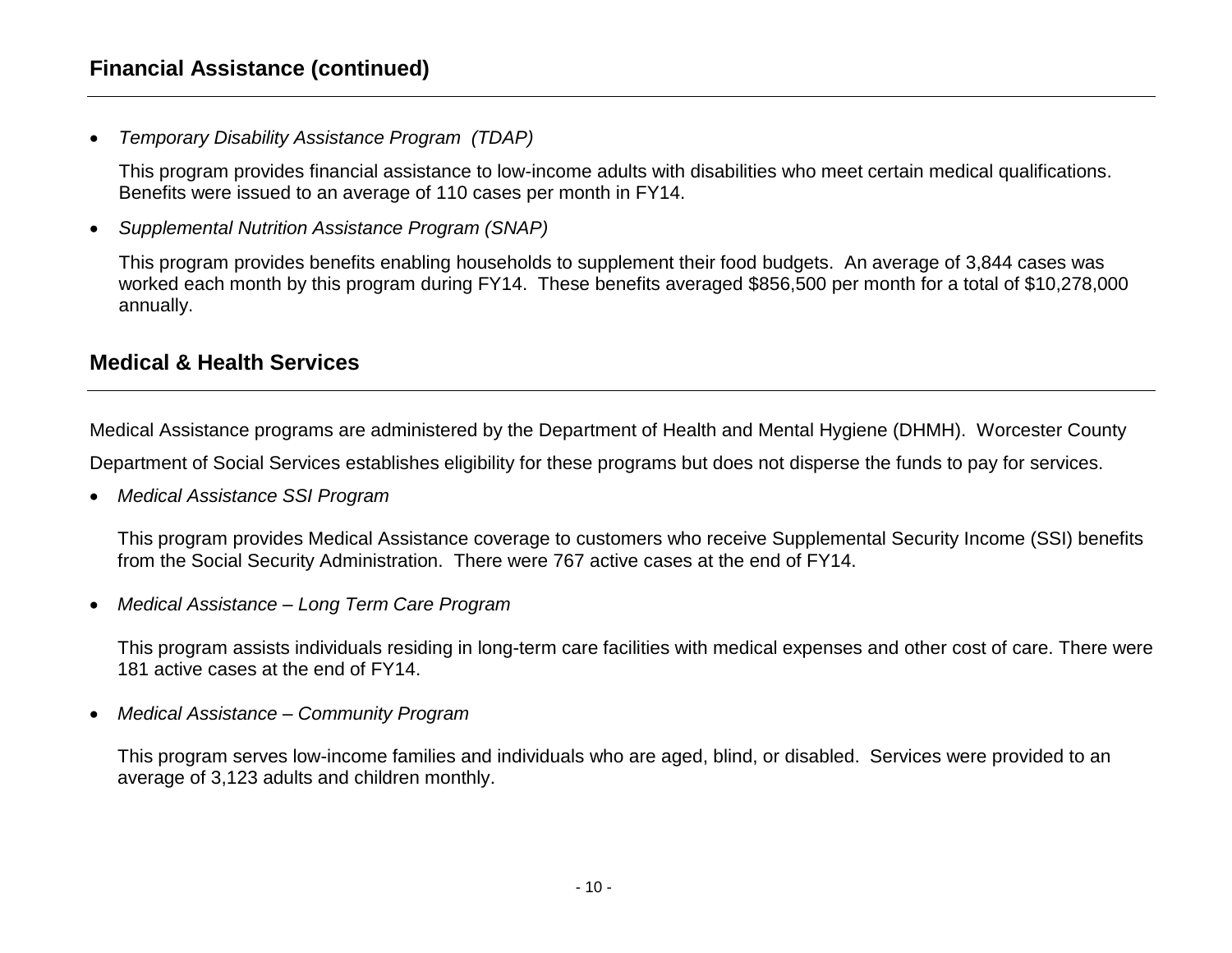#### **Financial Assistance (continued)**

*Temporary Disability Assistance Program (TDAP)* 

This program provides financial assistance to low-income adults with disabilities who meet certain medical qualifications. Benefits were issued to an average of 110 cases per month in FY14.

*Supplemental Nutrition Assistance Program (SNAP)*

This program provides benefits enabling households to supplement their food budgets. An average of 3,844 cases was worked each month by this program during FY14. These benefits averaged \$856,500 per month for a total of \$10,278,000 annually.

### <span id="page-9-0"></span>**Medical & Health Services**

Medical Assistance programs are administered by the Department of Health and Mental Hygiene (DHMH). Worcester County

Department of Social Services establishes eligibility for these programs but does not disperse the funds to pay for services.

*Medical Assistance SSI Program* 

This program provides Medical Assistance coverage to customers who receive Supplemental Security Income (SSI) benefits from the Social Security Administration. There were 767 active cases at the end of FY14.

*Medical Assistance – Long Term Care Program* 

This program assists individuals residing in long-term care facilities with medical expenses and other cost of care. There were 181 active cases at the end of FY14.

*Medical Assistance – Community Program* 

This program serves low-income families and individuals who are aged, blind, or disabled. Services were provided to an average of 3,123 adults and children monthly.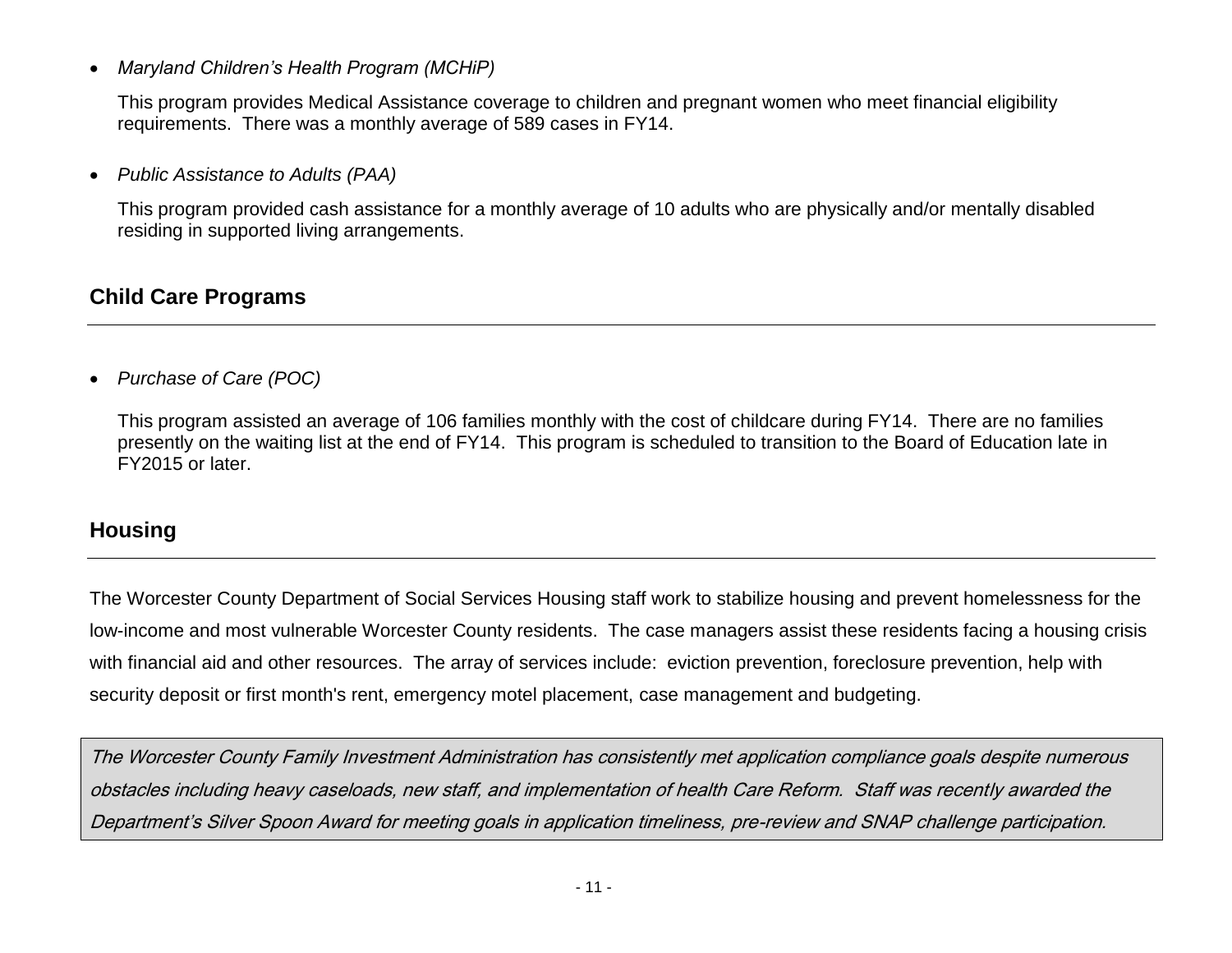*Maryland Children's Health Program (MCHiP)* 

This program provides Medical Assistance coverage to children and pregnant women who meet financial eligibility requirements. There was a monthly average of 589 cases in FY14.

*Public Assistance to Adults (PAA)* 

This program provided cash assistance for a monthly average of 10 adults who are physically and/or mentally disabled residing in supported living arrangements.

## <span id="page-10-0"></span>**Child Care Programs**

*Purchase of Care (POC)*

This program assisted an average of 106 families monthly with the cost of childcare during FY14. There are no families presently on the waiting list at the end of FY14. This program is scheduled to transition to the Board of Education late in FY2015 or later.

## <span id="page-10-1"></span>**Housing**

The Worcester County Department of Social Services Housing staff work to stabilize housing and prevent homelessness for the low-income and most vulnerable Worcester County residents. The case managers assist these residents facing a housing crisis with financial aid and other resources. The array of services include: eviction prevention, foreclosure prevention, help with security deposit or first month's rent, emergency motel placement, case management and budgeting.

The Worcester County Family Investment Administration has consistently met application compliance goals despite numerous obstacles including heavy caseloads, new staff, and implementation of health Care Reform. Staff was recently awarded the Department's Silver Spoon Award for meeting goals in application timeliness, pre-review and SNAP challenge participation.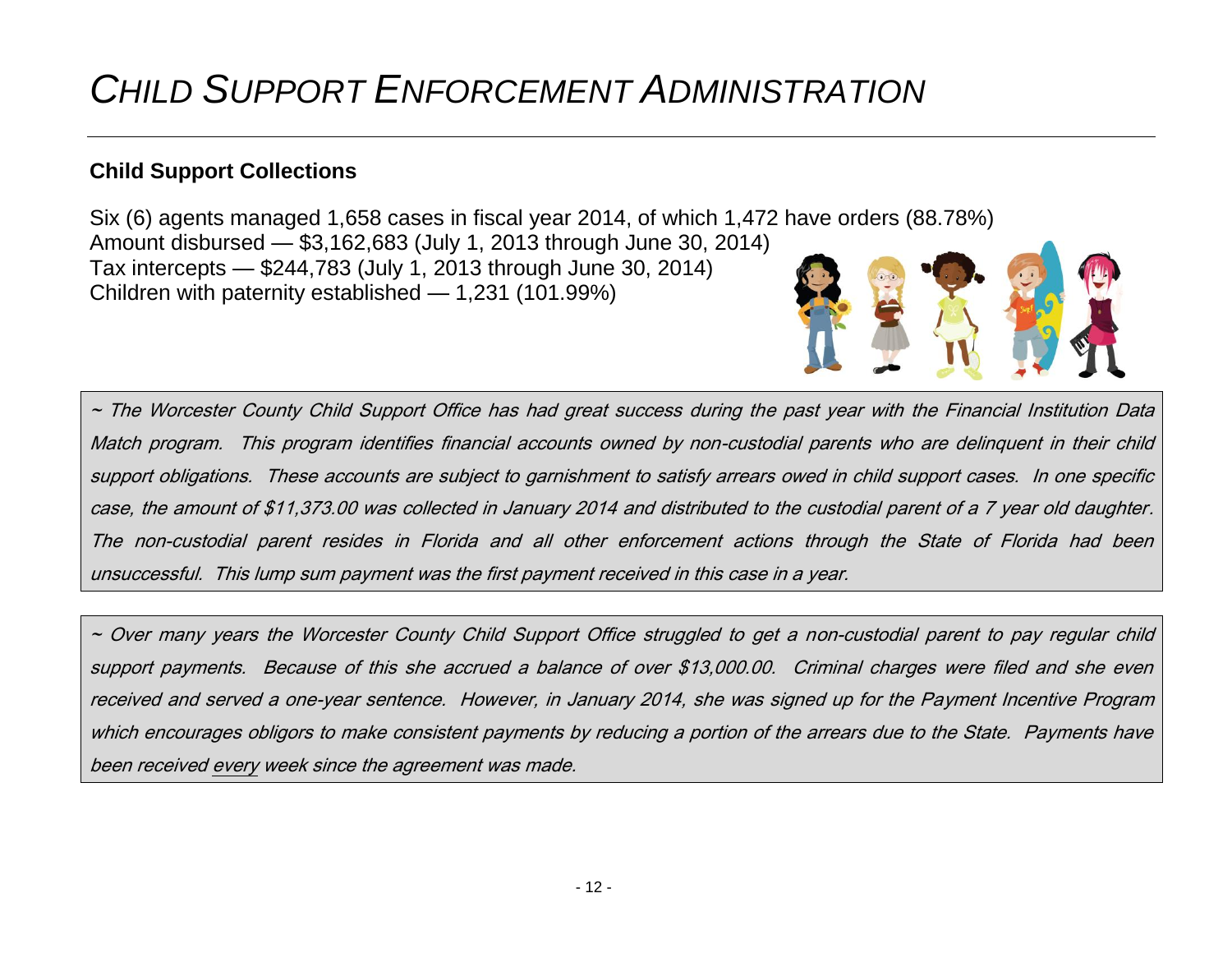# <span id="page-11-0"></span>*CHILD SUPPORT ENFORCEMENT ADMINISTRATION*

## <span id="page-11-1"></span>**Child Support Collections**

Six (6) agents managed 1,658 cases in fiscal year 2014, of which 1,472 have orders (88.78%) Amount disbursed — \$3,162,683 (July 1, 2013 through June 30, 2014) Tax intercepts — \$244,783 (July 1, 2013 through June 30, 2014) Children with paternity established — 1,231 (101.99%)

~ The Worcester County Child Support Office has had great success during the past year with the Financial Institution Data Match program. This program identifies financial accounts owned by non-custodial parents who are delinquent in their child support obligations. These accounts are subject to garnishment to satisfy arrears owed in child support cases. In one specific case, the amount of \$11,373.00 was collected in January 2014 and distributed to the custodial parent of a 7 year old daughter. The non-custodial parent resides in Florida and all other enforcement actions through the State of Florida had been unsuccessful. This lump sum payment was the first payment received in this case in a year.

<span id="page-11-2"></span>~ Over many years the Worcester County Child Support Office struggled to get a non-custodial parent to pay regular child support payments. Because of this she accrued a balance of over \$13,000.00. Criminal charges were filed and she even received and served a one-year sentence. However, in January 2014, she was signed up for the Payment Incentive Program which encourages obligors to make consistent payments by reducing a portion of the arrears due to the State. Payments have been received every week since the agreement was made.